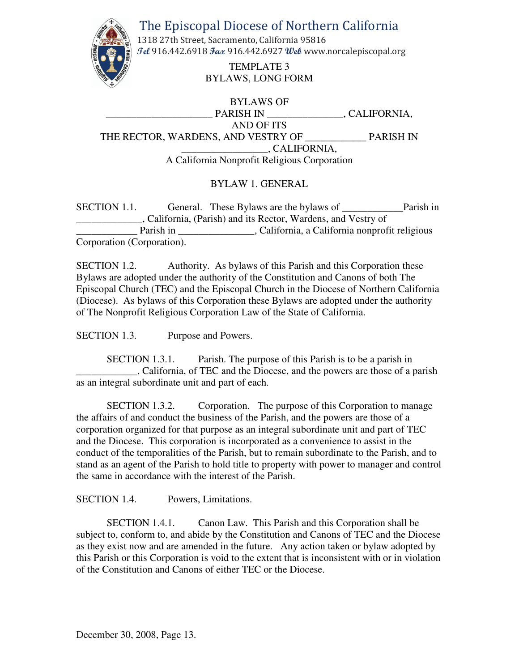The Episcopal Diocese of Northern California



1318 27th Street, Sacramento, California 95816 **Tel** 916.442.6918 **Fax** 916.442.6927 **Web** www.norcalepiscopal.org

> TEMPLATE 3 BYLAWS, LONG FORM

BYLAWS OF PARISH IN \_\_\_\_\_\_\_\_\_\_\_\_\_\_\_\_, CALIFORNIA, AND OF ITS THE RECTOR, WARDENS, AND VESTRY OF PARISH IN \_\_\_\_\_\_\_\_\_\_\_\_\_\_\_\_\_, CALIFORNIA, A California Nonprofit Religious Corporation

# BYLAW 1. GENERAL

SECTION 1.1. General. These Bylaws are the bylaws of Parish in \_\_\_\_\_\_\_\_\_\_\_\_\_, California, (Parish) and its Rector, Wardens, and Vestry of Parish in California, a California nonprofit religious Corporation (Corporation).

SECTION 1.2. Authority. As bylaws of this Parish and this Corporation these Bylaws are adopted under the authority of the Constitution and Canons of both The Episcopal Church (TEC) and the Episcopal Church in the Diocese of Northern California (Diocese). As bylaws of this Corporation these Bylaws are adopted under the authority of The Nonprofit Religious Corporation Law of the State of California.

SECTION 1.3. Purpose and Powers.

SECTION 1.3.1. Parish. The purpose of this Parish is to be a parish in \_\_\_\_\_\_\_\_\_\_\_\_, California, of TEC and the Diocese, and the powers are those of a parish as an integral subordinate unit and part of each.

SECTION 1.3.2. Corporation. The purpose of this Corporation to manage the affairs of and conduct the business of the Parish, and the powers are those of a corporation organized for that purpose as an integral subordinate unit and part of TEC and the Diocese. This corporation is incorporated as a convenience to assist in the conduct of the temporalities of the Parish, but to remain subordinate to the Parish, and to stand as an agent of the Parish to hold title to property with power to manager and control the same in accordance with the interest of the Parish.

SECTION 1.4. Powers, Limitations.

SECTION 1.4.1. Canon Law. This Parish and this Corporation shall be subject to, conform to, and abide by the Constitution and Canons of TEC and the Diocese as they exist now and are amended in the future. Any action taken or bylaw adopted by this Parish or this Corporation is void to the extent that is inconsistent with or in violation of the Constitution and Canons of either TEC or the Diocese.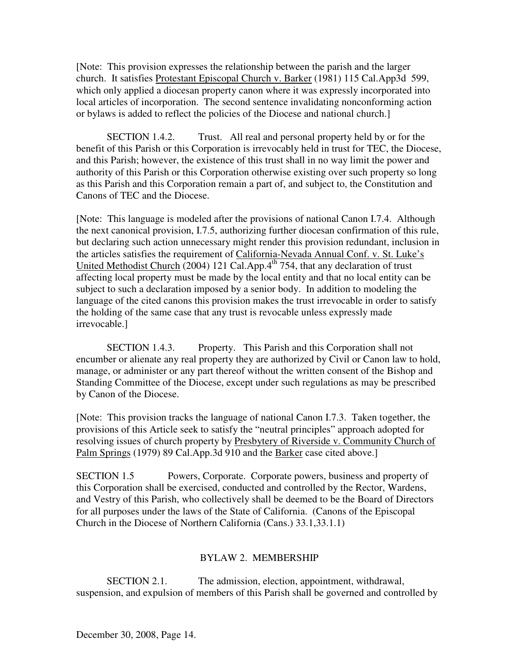[Note: This provision expresses the relationship between the parish and the larger church. It satisfies Protestant Episcopal Church v. Barker (1981) 115 Cal.App3d 599, which only applied a diocesan property canon where it was expressly incorporated into local articles of incorporation. The second sentence invalidating nonconforming action or bylaws is added to reflect the policies of the Diocese and national church.]

SECTION 1.4.2. Trust. All real and personal property held by or for the benefit of this Parish or this Corporation is irrevocably held in trust for TEC, the Diocese, and this Parish; however, the existence of this trust shall in no way limit the power and authority of this Parish or this Corporation otherwise existing over such property so long as this Parish and this Corporation remain a part of, and subject to, the Constitution and Canons of TEC and the Diocese.

[Note: This language is modeled after the provisions of national Canon I.7.4. Although the next canonical provision, I.7.5, authorizing further diocesan confirmation of this rule, but declaring such action unnecessary might render this provision redundant, inclusion in the articles satisfies the requirement of California-Nevada Annual Conf. v. St. Luke's United Methodist Church (2004) 121 Cal.App.4<sup>th</sup> 754, that any declaration of trust affecting local property must be made by the local entity and that no local entity can be subject to such a declaration imposed by a senior body. In addition to modeling the language of the cited canons this provision makes the trust irrevocable in order to satisfy the holding of the same case that any trust is revocable unless expressly made irrevocable.]

SECTION 1.4.3. Property. This Parish and this Corporation shall not encumber or alienate any real property they are authorized by Civil or Canon law to hold, manage, or administer or any part thereof without the written consent of the Bishop and Standing Committee of the Diocese, except under such regulations as may be prescribed by Canon of the Diocese.

[Note: This provision tracks the language of national Canon I.7.3. Taken together, the provisions of this Article seek to satisfy the "neutral principles" approach adopted for resolving issues of church property by Presbytery of Riverside v. Community Church of Palm Springs (1979) 89 Cal.App.3d 910 and the Barker case cited above.]

SECTION 1.5 Powers, Corporate. Corporate powers, business and property of this Corporation shall be exercised, conducted and controlled by the Rector, Wardens, and Vestry of this Parish, who collectively shall be deemed to be the Board of Directors for all purposes under the laws of the State of California. (Canons of the Episcopal Church in the Diocese of Northern California (Cans.) 33.1,33.1.1)

# BYLAW 2. MEMBERSHIP

SECTION 2.1. The admission, election, appointment, withdrawal, suspension, and expulsion of members of this Parish shall be governed and controlled by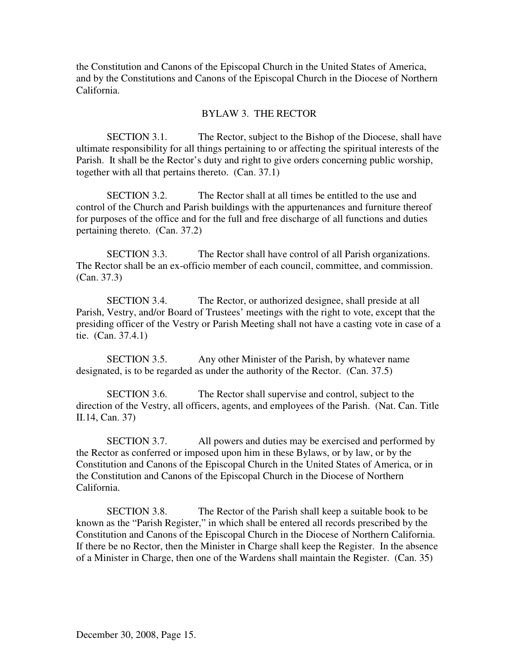the Constitution and Canons of the Episcopal Church in the United States of America, and by the Constitutions and Canons of the Episcopal Church in the Diocese of Northern California.

# BYLAW 3. THE RECTOR

SECTION 3.1. The Rector, subject to the Bishop of the Diocese, shall have ultimate responsibility for all things pertaining to or affecting the spiritual interests of the Parish. It shall be the Rector's duty and right to give orders concerning public worship, together with all that pertains thereto. (Can. 37.1)

SECTION 3.2. The Rector shall at all times be entitled to the use and control of the Church and Parish buildings with the appurtenances and furniture thereof for purposes of the office and for the full and free discharge of all functions and duties pertaining thereto. (Can. 37.2)

SECTION 3.3. The Rector shall have control of all Parish organizations. The Rector shall be an ex-officio member of each council, committee, and commission. (Can. 37.3)

SECTION 3.4. The Rector, or authorized designee, shall preside at all Parish, Vestry, and/or Board of Trustees' meetings with the right to vote, except that the presiding officer of the Vestry or Parish Meeting shall not have a casting vote in case of a tie. (Can. 37.4.1)

SECTION 3.5. Any other Minister of the Parish, by whatever name designated, is to be regarded as under the authority of the Rector. (Can. 37.5)

SECTION 3.6. The Rector shall supervise and control, subject to the direction of the Vestry, all officers, agents, and employees of the Parish. (Nat. Can. Title II.14, Can. 37)

SECTION 3.7. All powers and duties may be exercised and performed by the Rector as conferred or imposed upon him in these Bylaws, or by law, or by the Constitution and Canons of the Episcopal Church in the United States of America, or in the Constitution and Canons of the Episcopal Church in the Diocese of Northern California.

SECTION 3.8. The Rector of the Parish shall keep a suitable book to be known as the "Parish Register," in which shall be entered all records prescribed by the Constitution and Canons of the Episcopal Church in the Diocese of Northern California. If there be no Rector, then the Minister in Charge shall keep the Register. In the absence of a Minister in Charge, then one of the Wardens shall maintain the Register. (Can. 35)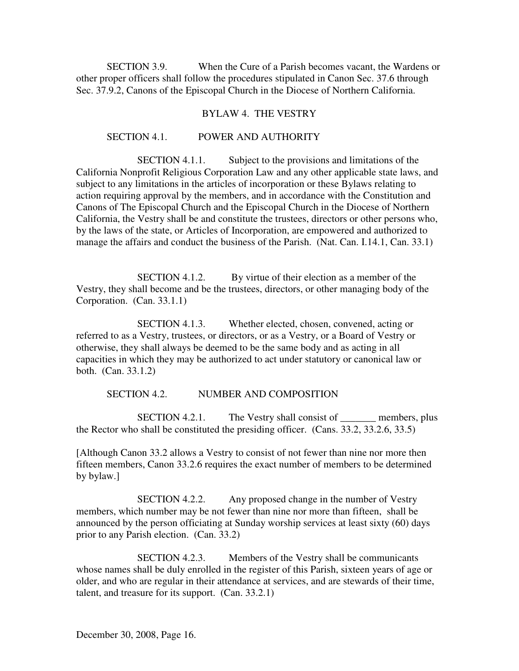SECTION 3.9. When the Cure of a Parish becomes vacant, the Wardens or other proper officers shall follow the procedures stipulated in Canon Sec. 37.6 through Sec. 37.9.2, Canons of the Episcopal Church in the Diocese of Northern California.

#### BYLAW 4. THE VESTRY

#### SECTION 4.1. POWER AND AUTHORITY

SECTION 4.1.1. Subject to the provisions and limitations of the California Nonprofit Religious Corporation Law and any other applicable state laws, and subject to any limitations in the articles of incorporation or these Bylaws relating to action requiring approval by the members, and in accordance with the Constitution and Canons of The Episcopal Church and the Episcopal Church in the Diocese of Northern California, the Vestry shall be and constitute the trustees, directors or other persons who, by the laws of the state, or Articles of Incorporation, are empowered and authorized to manage the affairs and conduct the business of the Parish. (Nat. Can. I.14.1, Can. 33.1)

SECTION 4.1.2. By virtue of their election as a member of the Vestry, they shall become and be the trustees, directors, or other managing body of the Corporation. (Can. 33.1.1)

SECTION 4.1.3. Whether elected, chosen, convened, acting or referred to as a Vestry, trustees, or directors, or as a Vestry, or a Board of Vestry or otherwise, they shall always be deemed to be the same body and as acting in all capacities in which they may be authorized to act under statutory or canonical law or both. (Can. 33.1.2)

#### SECTION 4.2. NUMBER AND COMPOSITION

SECTION 4.2.1. The Vestry shall consist of <u>\_\_\_\_\_\_\_</u> members, plus the Rector who shall be constituted the presiding officer. (Cans. 33.2, 33.2.6, 33.5)

[Although Canon 33.2 allows a Vestry to consist of not fewer than nine nor more then fifteen members, Canon 33.2.6 requires the exact number of members to be determined by bylaw.]

SECTION 4.2.2. Any proposed change in the number of Vestry members, which number may be not fewer than nine nor more than fifteen, shall be announced by the person officiating at Sunday worship services at least sixty (60) days prior to any Parish election. (Can. 33.2)

SECTION 4.2.3. Members of the Vestry shall be communicants whose names shall be duly enrolled in the register of this Parish, sixteen years of age or older, and who are regular in their attendance at services, and are stewards of their time, talent, and treasure for its support. (Can. 33.2.1)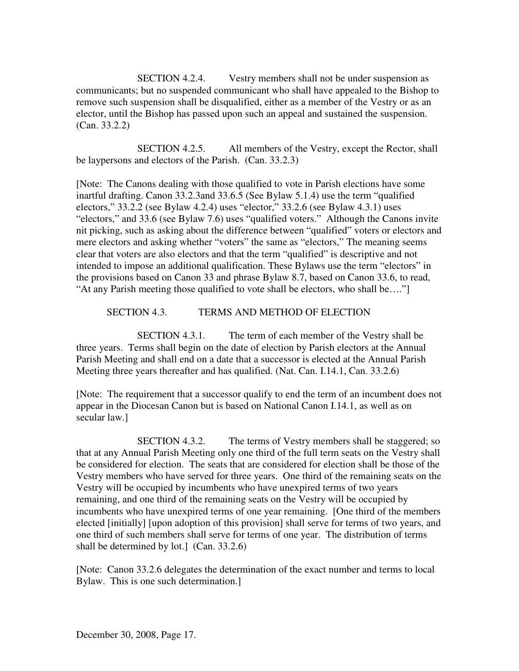SECTION 4.2.4. Vestry members shall not be under suspension as communicants; but no suspended communicant who shall have appealed to the Bishop to remove such suspension shall be disqualified, either as a member of the Vestry or as an elector, until the Bishop has passed upon such an appeal and sustained the suspension. (Can. 33.2.2)

SECTION 4.2.5. All members of the Vestry, except the Rector, shall be laypersons and electors of the Parish. (Can. 33.2.3)

[Note: The Canons dealing with those qualified to vote in Parish elections have some inartful drafting. Canon 33.2.3and 33.6.5 (See Bylaw 5.1.4) use the term "qualified electors,"  $33.2.2$  (see Bylaw 4.2.4) uses "elector,"  $33.2.6$  (see Bylaw 4.3.1) uses "electors," and 33.6 (see Bylaw 7.6) uses "qualified voters." Although the Canons invite nit picking, such as asking about the difference between "qualified" voters or electors and mere electors and asking whether "voters" the same as "electors," The meaning seems clear that voters are also electors and that the term "qualified" is descriptive and not intended to impose an additional qualification. These Bylaws use the term "electors" in the provisions based on Canon 33 and phrase Bylaw 8.7, based on Canon 33.6, to read, "At any Parish meeting those qualified to vote shall be electors, who shall be…."]

### SECTION 4.3. TERMS AND METHOD OF ELECTION

SECTION 4.3.1. The term of each member of the Vestry shall be three years. Terms shall begin on the date of election by Parish electors at the Annual Parish Meeting and shall end on a date that a successor is elected at the Annual Parish Meeting three years thereafter and has qualified. (Nat. Can. I.14.1, Can. 33.2.6)

[Note: The requirement that a successor qualify to end the term of an incumbent does not appear in the Diocesan Canon but is based on National Canon I.14.1, as well as on secular law.]

SECTION 4.3.2. The terms of Vestry members shall be staggered; so that at any Annual Parish Meeting only one third of the full term seats on the Vestry shall be considered for election. The seats that are considered for election shall be those of the Vestry members who have served for three years. One third of the remaining seats on the Vestry will be occupied by incumbents who have unexpired terms of two years remaining, and one third of the remaining seats on the Vestry will be occupied by incumbents who have unexpired terms of one year remaining. [One third of the members elected [initially] [upon adoption of this provision] shall serve for terms of two years, and one third of such members shall serve for terms of one year. The distribution of terms shall be determined by lot.] (Can. 33.2.6)

[Note: Canon 33.2.6 delegates the determination of the exact number and terms to local Bylaw. This is one such determination.]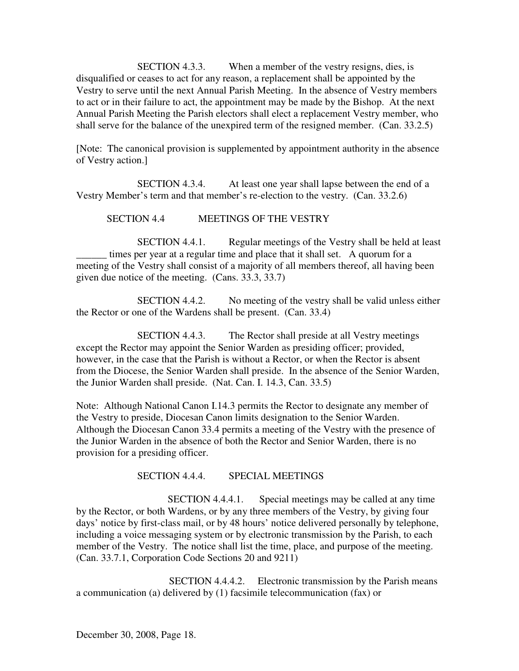SECTION 4.3.3. When a member of the vestry resigns, dies, is disqualified or ceases to act for any reason, a replacement shall be appointed by the Vestry to serve until the next Annual Parish Meeting. In the absence of Vestry members to act or in their failure to act, the appointment may be made by the Bishop. At the next Annual Parish Meeting the Parish electors shall elect a replacement Vestry member, who shall serve for the balance of the unexpired term of the resigned member. (Can. 33.2.5)

[Note: The canonical provision is supplemented by appointment authority in the absence of Vestry action.]

SECTION 4.3.4. At least one year shall lapse between the end of a Vestry Member's term and that member's re-election to the vestry. (Can. 33.2.6)

SECTION 4.4 MEETINGS OF THE VESTRY

SECTION 4.4.1. Regular meetings of the Vestry shall be held at least times per year at a regular time and place that it shall set. A quorum for a meeting of the Vestry shall consist of a majority of all members thereof, all having been given due notice of the meeting. (Cans. 33.3, 33.7)

SECTION 4.4.2. No meeting of the vestry shall be valid unless either the Rector or one of the Wardens shall be present. (Can. 33.4)

SECTION 4.4.3. The Rector shall preside at all Vestry meetings except the Rector may appoint the Senior Warden as presiding officer; provided, however, in the case that the Parish is without a Rector, or when the Rector is absent from the Diocese, the Senior Warden shall preside. In the absence of the Senior Warden, the Junior Warden shall preside. (Nat. Can. I. 14.3, Can. 33.5)

Note: Although National Canon I.14.3 permits the Rector to designate any member of the Vestry to preside, Diocesan Canon limits designation to the Senior Warden. Although the Diocesan Canon 33.4 permits a meeting of the Vestry with the presence of the Junior Warden in the absence of both the Rector and Senior Warden, there is no provision for a presiding officer.

### SECTION 4.4.4. SPECIAL MEETINGS

SECTION 4.4.4.1. Special meetings may be called at any time by the Rector, or both Wardens, or by any three members of the Vestry, by giving four days' notice by first-class mail, or by 48 hours' notice delivered personally by telephone, including a voice messaging system or by electronic transmission by the Parish, to each member of the Vestry. The notice shall list the time, place, and purpose of the meeting. (Can. 33.7.1, Corporation Code Sections 20 and 9211)

SECTION 4.4.4.2. Electronic transmission by the Parish means a communication (a) delivered by (1) facsimile telecommunication (fax) or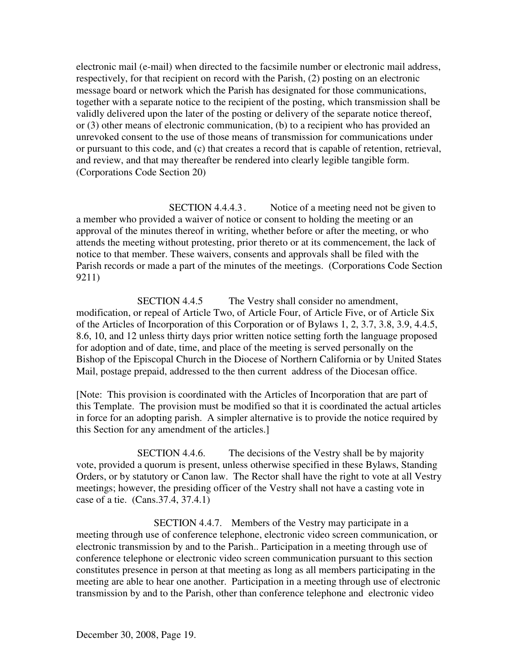electronic mail (e-mail) when directed to the facsimile number or electronic mail address, respectively, for that recipient on record with the Parish, (2) posting on an electronic message board or network which the Parish has designated for those communications, together with a separate notice to the recipient of the posting, which transmission shall be validly delivered upon the later of the posting or delivery of the separate notice thereof, or (3) other means of electronic communication, (b) to a recipient who has provided an unrevoked consent to the use of those means of transmission for communications under or pursuant to this code, and (c) that creates a record that is capable of retention, retrieval, and review, and that may thereafter be rendered into clearly legible tangible form. (Corporations Code Section 20)

SECTION 4.4.4.3. Notice of a meeting need not be given to a member who provided a waiver of notice or consent to holding the meeting or an approval of the minutes thereof in writing, whether before or after the meeting, or who attends the meeting without protesting, prior thereto or at its commencement, the lack of notice to that member. These waivers, consents and approvals shall be filed with the Parish records or made a part of the minutes of the meetings. (Corporations Code Section 9211)

SECTION 4.4.5 The Vestry shall consider no amendment, modification, or repeal of Article Two, of Article Four, of Article Five, or of Article Six of the Articles of Incorporation of this Corporation or of Bylaws 1, 2, 3.7, 3.8, 3.9, 4.4.5, 8.6, 10, and 12 unless thirty days prior written notice setting forth the language proposed for adoption and of date, time, and place of the meeting is served personally on the Bishop of the Episcopal Church in the Diocese of Northern California or by United States Mail, postage prepaid, addressed to the then current address of the Diocesan office.

[Note: This provision is coordinated with the Articles of Incorporation that are part of this Template. The provision must be modified so that it is coordinated the actual articles in force for an adopting parish. A simpler alternative is to provide the notice required by this Section for any amendment of the articles.]

SECTION 4.4.6. The decisions of the Vestry shall be by majority vote, provided a quorum is present, unless otherwise specified in these Bylaws, Standing Orders, or by statutory or Canon law. The Rector shall have the right to vote at all Vestry meetings; however, the presiding officer of the Vestry shall not have a casting vote in case of a tie. (Cans.37.4, 37.4.1)

SECTION 4.4.7. Members of the Vestry may participate in a meeting through use of conference telephone, electronic video screen communication, or electronic transmission by and to the Parish.. Participation in a meeting through use of conference telephone or electronic video screen communication pursuant to this section constitutes presence in person at that meeting as long as all members participating in the meeting are able to hear one another. Participation in a meeting through use of electronic transmission by and to the Parish, other than conference telephone and electronic video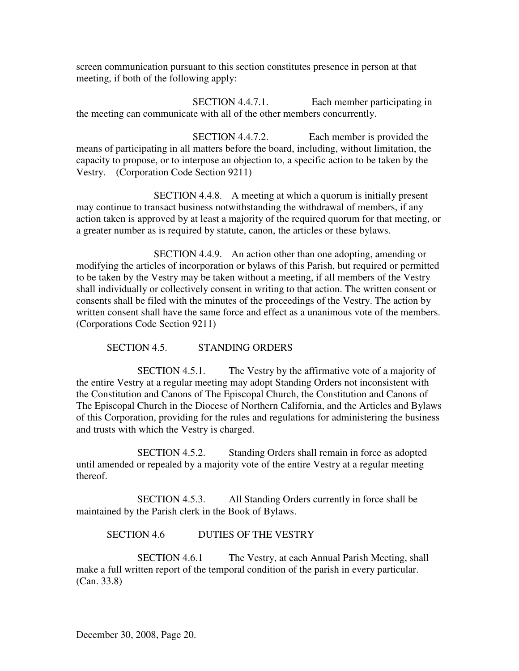screen communication pursuant to this section constitutes presence in person at that meeting, if both of the following apply:

SECTION 4.4.7.1. Each member participating in the meeting can communicate with all of the other members concurrently.

SECTION 4.4.7.2. Each member is provided the means of participating in all matters before the board, including, without limitation, the capacity to propose, or to interpose an objection to, a specific action to be taken by the Vestry. (Corporation Code Section 9211)

SECTION 4.4.8. A meeting at which a quorum is initially present may continue to transact business notwithstanding the withdrawal of members, if any action taken is approved by at least a majority of the required quorum for that meeting, or a greater number as is required by statute, canon, the articles or these bylaws.

SECTION 4.4.9. An action other than one adopting, amending or modifying the articles of incorporation or bylaws of this Parish, but required or permitted to be taken by the Vestry may be taken without a meeting, if all members of the Vestry shall individually or collectively consent in writing to that action. The written consent or consents shall be filed with the minutes of the proceedings of the Vestry. The action by written consent shall have the same force and effect as a unanimous vote of the members. (Corporations Code Section 9211)

SECTION 4.5. STANDING ORDERS

SECTION 4.5.1. The Vestry by the affirmative vote of a majority of the entire Vestry at a regular meeting may adopt Standing Orders not inconsistent with the Constitution and Canons of The Episcopal Church, the Constitution and Canons of The Episcopal Church in the Diocese of Northern California, and the Articles and Bylaws of this Corporation, providing for the rules and regulations for administering the business and trusts with which the Vestry is charged.

SECTION 4.5.2. Standing Orders shall remain in force as adopted until amended or repealed by a majority vote of the entire Vestry at a regular meeting thereof.

SECTION 4.5.3. All Standing Orders currently in force shall be maintained by the Parish clerk in the Book of Bylaws.

SECTION 4.6 DUTIES OF THE VESTRY

SECTION 4.6.1 The Vestry, at each Annual Parish Meeting, shall make a full written report of the temporal condition of the parish in every particular. (Can. 33.8)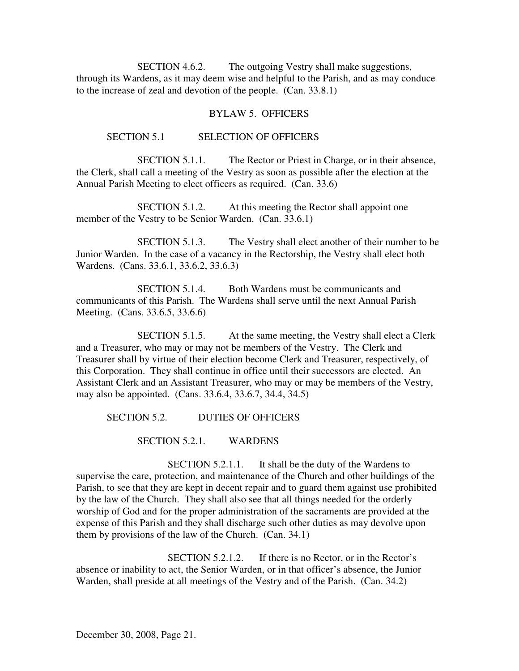SECTION 4.6.2. The outgoing Vestry shall make suggestions, through its Wardens, as it may deem wise and helpful to the Parish, and as may conduce to the increase of zeal and devotion of the people. (Can. 33.8.1)

### BYLAW 5. OFFICERS

### SECTION 5.1 SELECTION OF OFFICERS

SECTION 5.1.1. The Rector or Priest in Charge, or in their absence, the Clerk, shall call a meeting of the Vestry as soon as possible after the election at the Annual Parish Meeting to elect officers as required. (Can. 33.6)

SECTION 5.1.2. At this meeting the Rector shall appoint one member of the Vestry to be Senior Warden. (Can. 33.6.1)

SECTION 5.1.3. The Vestry shall elect another of their number to be Junior Warden. In the case of a vacancy in the Rectorship, the Vestry shall elect both Wardens. (Cans. 33.6.1, 33.6.2, 33.6.3)

SECTION 5.1.4. Both Wardens must be communicants and communicants of this Parish. The Wardens shall serve until the next Annual Parish Meeting. (Cans. 33.6.5, 33.6.6)

SECTION 5.1.5. At the same meeting, the Vestry shall elect a Clerk and a Treasurer, who may or may not be members of the Vestry. The Clerk and Treasurer shall by virtue of their election become Clerk and Treasurer, respectively, of this Corporation. They shall continue in office until their successors are elected. An Assistant Clerk and an Assistant Treasurer, who may or may be members of the Vestry, may also be appointed. (Cans. 33.6.4, 33.6.7, 34.4, 34.5)

SECTION 5.2. DUTIES OF OFFICERS

SECTION 5.2.1. WARDENS

SECTION 5.2.1.1. It shall be the duty of the Wardens to supervise the care, protection, and maintenance of the Church and other buildings of the Parish, to see that they are kept in decent repair and to guard them against use prohibited by the law of the Church. They shall also see that all things needed for the orderly worship of God and for the proper administration of the sacraments are provided at the expense of this Parish and they shall discharge such other duties as may devolve upon them by provisions of the law of the Church. (Can. 34.1)

SECTION 5.2.1.2. If there is no Rector, or in the Rector's absence or inability to act, the Senior Warden, or in that officer's absence, the Junior Warden, shall preside at all meetings of the Vestry and of the Parish. (Can. 34.2)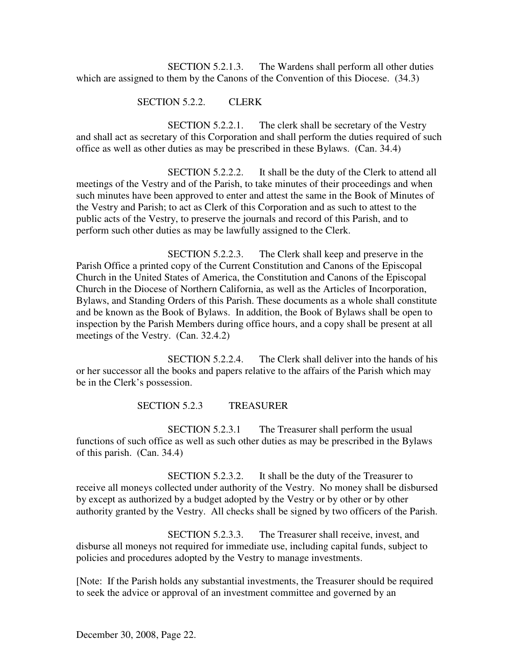SECTION 5.2.1.3. The Wardens shall perform all other duties which are assigned to them by the Canons of the Convention of this Diocese. (34.3)

# SECTION 5.2.2. CLERK

SECTION 5.2.2.1. The clerk shall be secretary of the Vestry and shall act as secretary of this Corporation and shall perform the duties required of such office as well as other duties as may be prescribed in these Bylaws. (Can. 34.4)

SECTION 5.2.2.2. It shall be the duty of the Clerk to attend all meetings of the Vestry and of the Parish, to take minutes of their proceedings and when such minutes have been approved to enter and attest the same in the Book of Minutes of the Vestry and Parish; to act as Clerk of this Corporation and as such to attest to the public acts of the Vestry, to preserve the journals and record of this Parish, and to perform such other duties as may be lawfully assigned to the Clerk.

SECTION 5.2.2.3. The Clerk shall keep and preserve in the Parish Office a printed copy of the Current Constitution and Canons of the Episcopal Church in the United States of America, the Constitution and Canons of the Episcopal Church in the Diocese of Northern California, as well as the Articles of Incorporation, Bylaws, and Standing Orders of this Parish. These documents as a whole shall constitute and be known as the Book of Bylaws. In addition, the Book of Bylaws shall be open to inspection by the Parish Members during office hours, and a copy shall be present at all meetings of the Vestry. (Can. 32.4.2)

SECTION 5.2.2.4. The Clerk shall deliver into the hands of his or her successor all the books and papers relative to the affairs of the Parish which may be in the Clerk's possession.

### SECTION 5.2.3 TREASURER

SECTION 5.2.3.1 The Treasurer shall perform the usual functions of such office as well as such other duties as may be prescribed in the Bylaws of this parish. (Can. 34.4)

SECTION 5.2.3.2. It shall be the duty of the Treasurer to receive all moneys collected under authority of the Vestry. No money shall be disbursed by except as authorized by a budget adopted by the Vestry or by other or by other authority granted by the Vestry. All checks shall be signed by two officers of the Parish.

SECTION 5.2.3.3. The Treasurer shall receive, invest, and disburse all moneys not required for immediate use, including capital funds, subject to policies and procedures adopted by the Vestry to manage investments.

[Note: If the Parish holds any substantial investments, the Treasurer should be required to seek the advice or approval of an investment committee and governed by an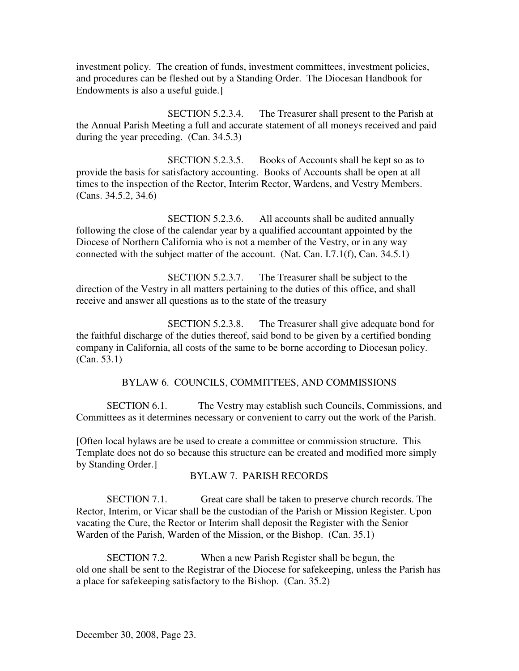investment policy. The creation of funds, investment committees, investment policies, and procedures can be fleshed out by a Standing Order. The Diocesan Handbook for Endowments is also a useful guide.]

SECTION 5.2.3.4. The Treasurer shall present to the Parish at the Annual Parish Meeting a full and accurate statement of all moneys received and paid during the year preceding. (Can. 34.5.3)

SECTION 5.2.3.5. Books of Accounts shall be kept so as to provide the basis for satisfactory accounting. Books of Accounts shall be open at all times to the inspection of the Rector, Interim Rector, Wardens, and Vestry Members. (Cans. 34.5.2, 34.6)

SECTION 5.2.3.6. All accounts shall be audited annually following the close of the calendar year by a qualified accountant appointed by the Diocese of Northern California who is not a member of the Vestry, or in any way connected with the subject matter of the account. (Nat. Can. I.7.1(f), Can. 34.5.1)

SECTION 5.2.3.7. The Treasurer shall be subject to the direction of the Vestry in all matters pertaining to the duties of this office, and shall receive and answer all questions as to the state of the treasury

SECTION 5.2.3.8. The Treasurer shall give adequate bond for the faithful discharge of the duties thereof, said bond to be given by a certified bonding company in California, all costs of the same to be borne according to Diocesan policy. (Can. 53.1)

# BYLAW 6. COUNCILS, COMMITTEES, AND COMMISSIONS

SECTION 6.1. The Vestry may establish such Councils, Commissions, and Committees as it determines necessary or convenient to carry out the work of the Parish.

[Often local bylaws are be used to create a committee or commission structure. This Template does not do so because this structure can be created and modified more simply by Standing Order.]

# BYLAW 7. PARISH RECORDS

SECTION 7.1. Great care shall be taken to preserve church records. The Rector, Interim, or Vicar shall be the custodian of the Parish or Mission Register. Upon vacating the Cure, the Rector or Interim shall deposit the Register with the Senior Warden of the Parish, Warden of the Mission, or the Bishop. (Can. 35.1)

SECTION 7.2. When a new Parish Register shall be begun, the old one shall be sent to the Registrar of the Diocese for safekeeping, unless the Parish has a place for safekeeping satisfactory to the Bishop. (Can. 35.2)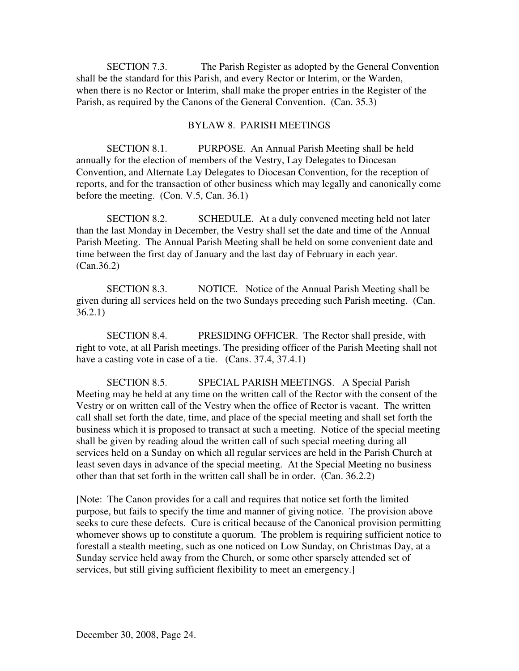SECTION 7.3. The Parish Register as adopted by the General Convention shall be the standard for this Parish, and every Rector or Interim, or the Warden, when there is no Rector or Interim, shall make the proper entries in the Register of the Parish, as required by the Canons of the General Convention. (Can. 35.3)

### BYLAW 8. PARISH MEETINGS

SECTION 8.1. PURPOSE. An Annual Parish Meeting shall be held annually for the election of members of the Vestry, Lay Delegates to Diocesan Convention, and Alternate Lay Delegates to Diocesan Convention, for the reception of reports, and for the transaction of other business which may legally and canonically come before the meeting. (Con. V.5, Can. 36.1)

SECTION 8.2. SCHEDULE. At a duly convened meeting held not later than the last Monday in December, the Vestry shall set the date and time of the Annual Parish Meeting. The Annual Parish Meeting shall be held on some convenient date and time between the first day of January and the last day of February in each year. (Can.36.2)

SECTION 8.3. NOTICE. Notice of the Annual Parish Meeting shall be given during all services held on the two Sundays preceding such Parish meeting. (Can. 36.2.1)

SECTION 8.4. PRESIDING OFFICER. The Rector shall preside, with right to vote, at all Parish meetings. The presiding officer of the Parish Meeting shall not have a casting vote in case of a tie. (Cans. 37.4, 37.4.1)

SECTION 8.5. SPECIAL PARISH MEETINGS. A Special Parish Meeting may be held at any time on the written call of the Rector with the consent of the Vestry or on written call of the Vestry when the office of Rector is vacant. The written call shall set forth the date, time, and place of the special meeting and shall set forth the business which it is proposed to transact at such a meeting. Notice of the special meeting shall be given by reading aloud the written call of such special meeting during all services held on a Sunday on which all regular services are held in the Parish Church at least seven days in advance of the special meeting. At the Special Meeting no business other than that set forth in the written call shall be in order. (Can. 36.2.2)

[Note: The Canon provides for a call and requires that notice set forth the limited purpose, but fails to specify the time and manner of giving notice. The provision above seeks to cure these defects. Cure is critical because of the Canonical provision permitting whomever shows up to constitute a quorum. The problem is requiring sufficient notice to forestall a stealth meeting, such as one noticed on Low Sunday, on Christmas Day, at a Sunday service held away from the Church, or some other sparsely attended set of services, but still giving sufficient flexibility to meet an emergency.]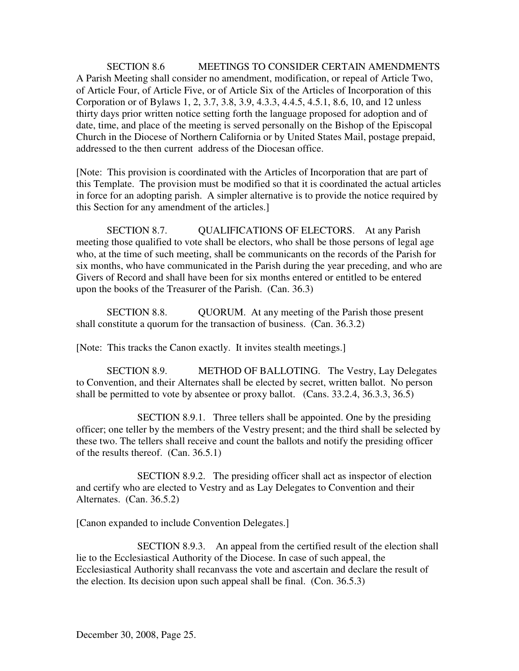SECTION 8.6 MEETINGS TO CONSIDER CERTAIN AMENDMENTS A Parish Meeting shall consider no amendment, modification, or repeal of Article Two, of Article Four, of Article Five, or of Article Six of the Articles of Incorporation of this Corporation or of Bylaws 1, 2, 3.7, 3.8, 3.9, 4.3.3, 4.4.5, 4.5.1, 8.6, 10, and 12 unless thirty days prior written notice setting forth the language proposed for adoption and of date, time, and place of the meeting is served personally on the Bishop of the Episcopal Church in the Diocese of Northern California or by United States Mail, postage prepaid, addressed to the then current address of the Diocesan office.

[Note: This provision is coordinated with the Articles of Incorporation that are part of this Template. The provision must be modified so that it is coordinated the actual articles in force for an adopting parish. A simpler alternative is to provide the notice required by this Section for any amendment of the articles.]

SECTION 8.7. QUALIFICATIONS OF ELECTORS. At any Parish meeting those qualified to vote shall be electors, who shall be those persons of legal age who, at the time of such meeting, shall be communicants on the records of the Parish for six months, who have communicated in the Parish during the year preceding, and who are Givers of Record and shall have been for six months entered or entitled to be entered upon the books of the Treasurer of the Parish. (Can. 36.3)

SECTION 8.8. QUORUM. At any meeting of the Parish those present shall constitute a quorum for the transaction of business. (Can. 36.3.2)

[Note: This tracks the Canon exactly. It invites stealth meetings.]

SECTION 8.9. METHOD OF BALLOTING. The Vestry, Lay Delegates to Convention, and their Alternates shall be elected by secret, written ballot. No person shall be permitted to vote by absentee or proxy ballot. (Cans. 33.2.4, 36.3.3, 36.5)

SECTION 8.9.1. Three tellers shall be appointed. One by the presiding officer; one teller by the members of the Vestry present; and the third shall be selected by these two. The tellers shall receive and count the ballots and notify the presiding officer of the results thereof. (Can. 36.5.1)

SECTION 8.9.2. The presiding officer shall act as inspector of election and certify who are elected to Vestry and as Lay Delegates to Convention and their Alternates. (Can. 36.5.2)

[Canon expanded to include Convention Delegates.]

SECTION 8.9.3. An appeal from the certified result of the election shall lie to the Ecclesiastical Authority of the Diocese. In case of such appeal, the Ecclesiastical Authority shall recanvass the vote and ascertain and declare the result of the election. Its decision upon such appeal shall be final. (Con. 36.5.3)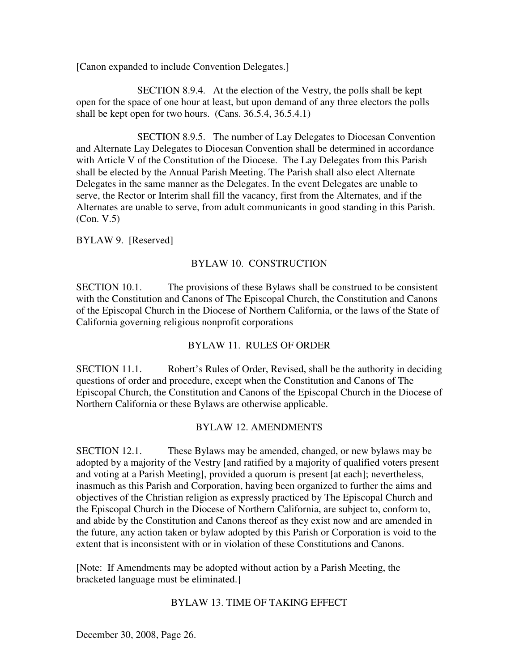[Canon expanded to include Convention Delegates.]

SECTION 8.9.4. At the election of the Vestry, the polls shall be kept open for the space of one hour at least, but upon demand of any three electors the polls shall be kept open for two hours. (Cans. 36.5.4, 36.5.4.1)

SECTION 8.9.5. The number of Lay Delegates to Diocesan Convention and Alternate Lay Delegates to Diocesan Convention shall be determined in accordance with Article V of the Constitution of the Diocese. The Lay Delegates from this Parish shall be elected by the Annual Parish Meeting. The Parish shall also elect Alternate Delegates in the same manner as the Delegates. In the event Delegates are unable to serve, the Rector or Interim shall fill the vacancy, first from the Alternates, and if the Alternates are unable to serve, from adult communicants in good standing in this Parish. (Con. V.5)

#### BYLAW 9. [Reserved]

### BYLAW 10. CONSTRUCTION

SECTION 10.1. The provisions of these Bylaws shall be construed to be consistent with the Constitution and Canons of The Episcopal Church, the Constitution and Canons of the Episcopal Church in the Diocese of Northern California, or the laws of the State of California governing religious nonprofit corporations

### BYLAW 11. RULES OF ORDER

SECTION 11.1. Robert's Rules of Order, Revised, shall be the authority in deciding questions of order and procedure, except when the Constitution and Canons of The Episcopal Church, the Constitution and Canons of the Episcopal Church in the Diocese of Northern California or these Bylaws are otherwise applicable.

### BYLAW 12. AMENDMENTS

SECTION 12.1. These Bylaws may be amended, changed, or new bylaws may be adopted by a majority of the Vestry [and ratified by a majority of qualified voters present and voting at a Parish Meeting], provided a quorum is present [at each]; nevertheless, inasmuch as this Parish and Corporation, having been organized to further the aims and objectives of the Christian religion as expressly practiced by The Episcopal Church and the Episcopal Church in the Diocese of Northern California, are subject to, conform to, and abide by the Constitution and Canons thereof as they exist now and are amended in the future, any action taken or bylaw adopted by this Parish or Corporation is void to the extent that is inconsistent with or in violation of these Constitutions and Canons.

[Note: If Amendments may be adopted without action by a Parish Meeting, the bracketed language must be eliminated.]

# BYLAW 13. TIME OF TAKING EFFECT